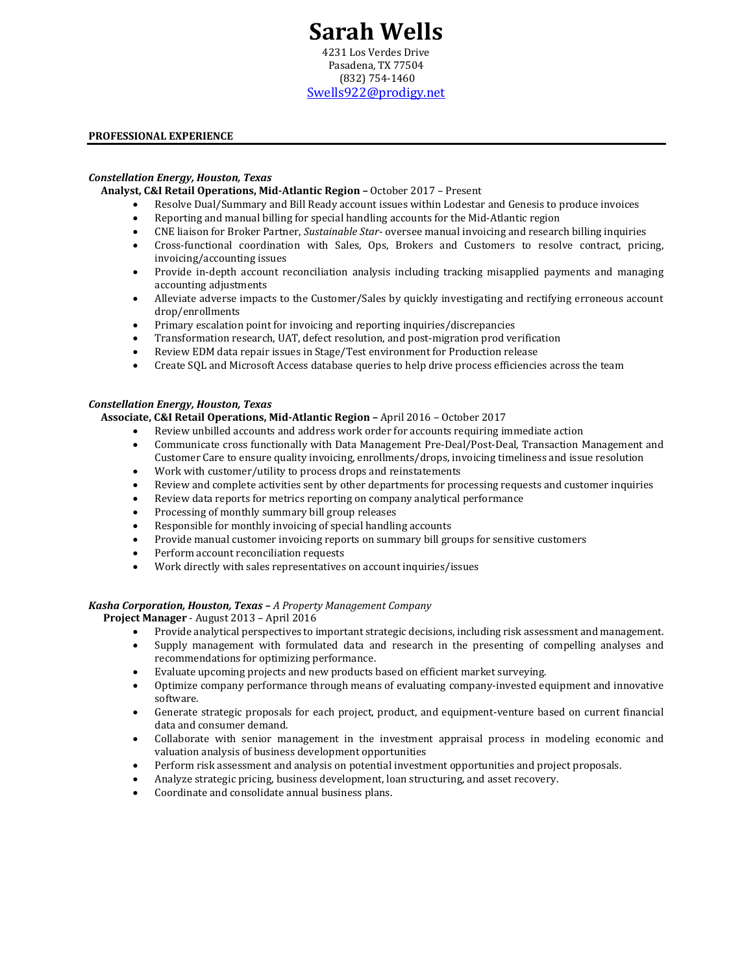# **Sarah Wells**

4231 Los Verdes Drive Pasadena, TX 77504 (832) 754-1460 [Swells922@prodigy.net](mailto:swells922@prodigy.net)

## **PROFESSIONAL EXPERIENCE**

#### *Constellation Energy, Houston, Texas*

**Analyst, C&I Retail Operations, Mid-Atlantic Region –** October 2017 – Present

- Resolve Dual/Summary and Bill Ready account issues within Lodestar and Genesis to produce invoices
- Reporting and manual billing for special handling accounts for the Mid-Atlantic region
- CNE liaison for Broker Partner, *Sustainable Star* oversee manual invoicing and research billing inquiries
- Cross-functional coordination with Sales, Ops, Brokers and Customers to resolve contract, pricing, invoicing/accounting issues
- Provide in-depth account reconciliation analysis including tracking misapplied payments and managing accounting adjustments
- Alleviate adverse impacts to the Customer/Sales by quickly investigating and rectifying erroneous account drop/enrollments
- Primary escalation point for invoicing and reporting inquiries/discrepancies
- Transformation research, UAT, defect resolution, and post-migration prod verification
- Review EDM data repair issues in Stage/Test environment for Production release
- Create SQL and Microsoft Access database queries to help drive process efficiencies across the team

#### *Constellation Energy, Houston, Texas*

### **Associate, C&I Retail Operations, Mid-Atlantic Region –** April 2016 – October 2017

- Review unbilled accounts and address work order for accounts requiring immediate action
- Communicate cross functionally with Data Management Pre-Deal/Post-Deal, Transaction Management and Customer Care to ensure quality invoicing, enrollments/drops, invoicing timeliness and issue resolution
- Work with customer/utility to process drops and reinstatements
- Review and complete activities sent by other departments for processing requests and customer inquiries
- Review data reports for metrics reporting on company analytical performance
- Processing of monthly summary bill group releases
- Responsible for monthly invoicing of special handling accounts
- Provide manual customer invoicing reports on summary bill groups for sensitive customers
- Perform account reconciliation requests
- Work directly with sales representatives on account inquiries/issues

#### *Kasha Corporation, Houston, Texas – A Property Management Company*

 **Project Manager** - August 2013 – April 2016

- Provide analytical perspectives to important strategic decisions, including risk assessment and management.
- Supply management with formulated data and research in the presenting of compelling analyses and recommendations for optimizing performance.
- Evaluate upcoming projects and new products based on efficient market surveying.
- Optimize company performance through means of evaluating company-invested equipment and innovative software.
- Generate strategic proposals for each project, product, and equipment-venture based on current financial data and consumer demand.
- Collaborate with senior management in the investment appraisal process in modeling economic and valuation analysis of business development opportunities
- Perform risk assessment and analysis on potential investment opportunities and project proposals.
- Analyze strategic pricing, business development, loan structuring, and asset recovery.
- Coordinate and consolidate annual business plans.